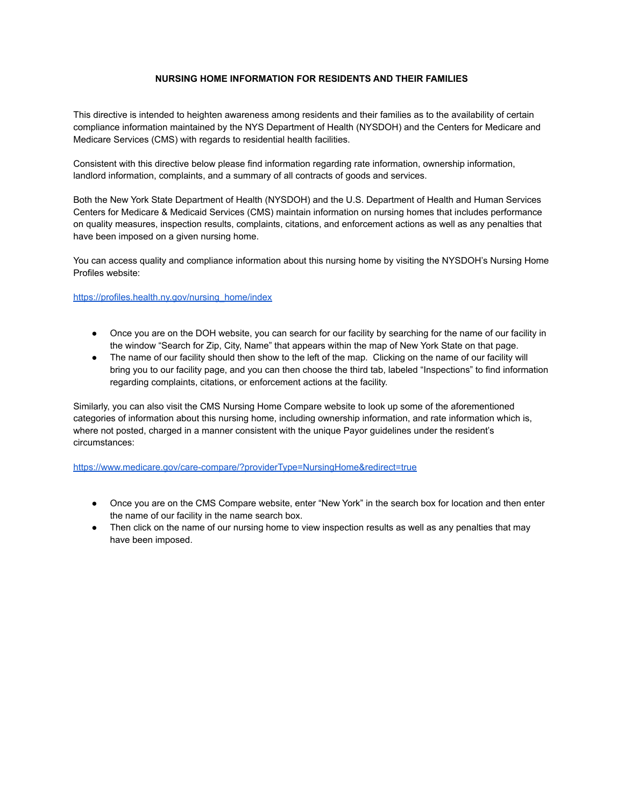## **NURSING HOME INFORMATION FOR RESIDENTS AND THEIR FAMILIES**

This directive is intended to heighten awareness among residents and their families as to the availability of certain compliance information maintained by the NYS Department of Health (NYSDOH) and the Centers for Medicare and Medicare Services (CMS) with regards to residential health facilities.

Consistent with this directive below please find information regarding rate information, ownership information, landlord information, complaints, and a summary of all contracts of goods and services.

Both the New York State Department of Health (NYSDOH) and the U.S. Department of Health and Human Services Centers for Medicare & Medicaid Services (CMS) maintain information on nursing homes that includes performance on quality measures, inspection results, complaints, citations, and enforcement actions as well as any penalties that have been imposed on a given nursing home.

You can access quality and compliance information about this nursing home by visiting the NYSDOH's Nursing Home Profiles website:

## [https://profiles.health.ny.gov/nursing\\_home/index](https://profiles.health.ny.gov/nursing_home/index)

- Once you are on the DOH website, you can search for our facility by searching for the name of our facility in the window "Search for Zip, City, Name" that appears within the map of New York State on that page.
- The name of our facility should then show to the left of the map. Clicking on the name of our facility will bring you to our facility page, and you can then choose the third tab, labeled "Inspections" to find information regarding complaints, citations, or enforcement actions at the facility.

Similarly, you can also visit the CMS Nursing Home Compare website to look up some of the aforementioned categories of information about this nursing home, including ownership information, and rate information which is, where not posted, charged in a manner consistent with the unique Payor guidelines under the resident's circumstances:

<https://www.medicare.gov/care-compare/?providerType=NursingHome&redirect=true>

- Once you are on the CMS Compare website, enter "New York" in the search box for location and then enter the name of our facility in the name search box.
- Then click on the name of our nursing home to view inspection results as well as any penalties that may have been imposed.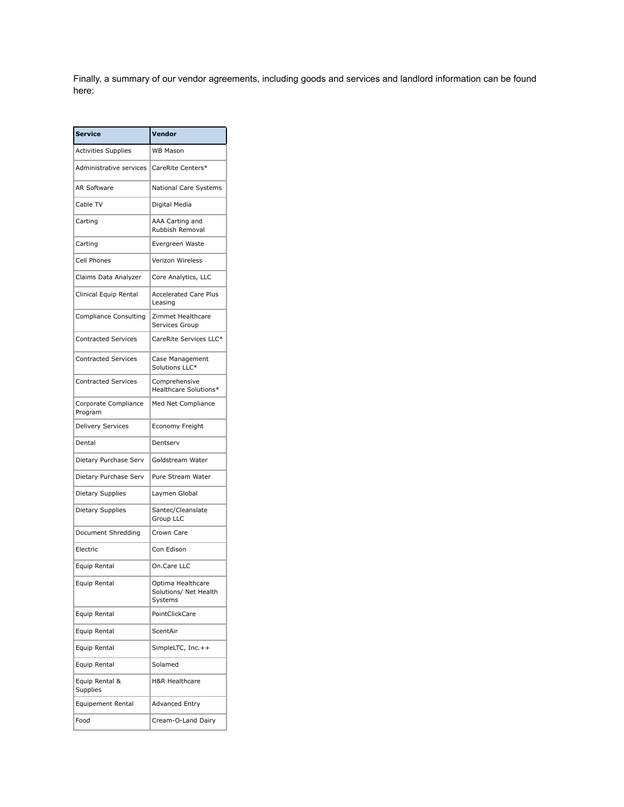Finally, a summary of our vendor agreements, including goods and services and landlord information can be found here:

| <b>Service</b>                  | Vendor                                                |
|---------------------------------|-------------------------------------------------------|
| <b>Activities Supplies</b>      | <b>WB Mason</b>                                       |
| Administrative services         | CareRite Centers*                                     |
| <b>AR Software</b>              | National Care Systems                                 |
| Cable TV                        | Digital Media                                         |
| Carting                         | AAA Carting and<br>Rubbish Removal                    |
| Carting                         | Evergreen Waste                                       |
| Cell Phones                     | Verizon Wireless                                      |
| Claims Data Analyzer            | Core Analytics, LLC                                   |
| Clinical Equip Rental           | <b>Accelerated Care Plus</b><br>Leasing               |
| <b>Compliance Consulting</b>    | Zimmet Healthcare<br>Services Group                   |
| <b>Contracted Services</b>      | CareRite Services LLC*                                |
| <b>Contracted Services</b>      | Case Management<br>Solutions LLC*                     |
| <b>Contracted Services</b>      | Comprehensive<br>Healthcare Solutions*                |
| Corporate Compliance<br>Program | Med Net Compliance                                    |
| <b>Delivery Services</b>        | Economy Freight                                       |
| Dental                          | Dentserv                                              |
| Dietary Purchase Serv           | Goldstream Water                                      |
| Dietary Purchase Serv           | Pure Stream Water                                     |
| Dietary Supplies                | Laymen Global                                         |
| Dietary Supplies                | Santec/Cleanslate<br>Group LLC                        |
| Document Shredding              | Crown Care                                            |
| Electric                        | Con Edison                                            |
| Equip Rental                    | On.Care LLC                                           |
| Equip Rental                    | Optima Healthcare<br>Solutions/ Net Health<br>Systems |
| Equip Rental                    | PointClickCare                                        |
| Equip Rental                    | ScentAir                                              |
| Equip Rental                    | SimpleLTC, Inc.++                                     |
| Equip Rental                    | Solamed                                               |
| Equip Rental &<br>Supplies      | <b>H&amp;R Healthcare</b>                             |
| <b>Equipement Rental</b>        | <b>Advanced Entry</b>                                 |
| Food                            | Cream-O-Land Dairy                                    |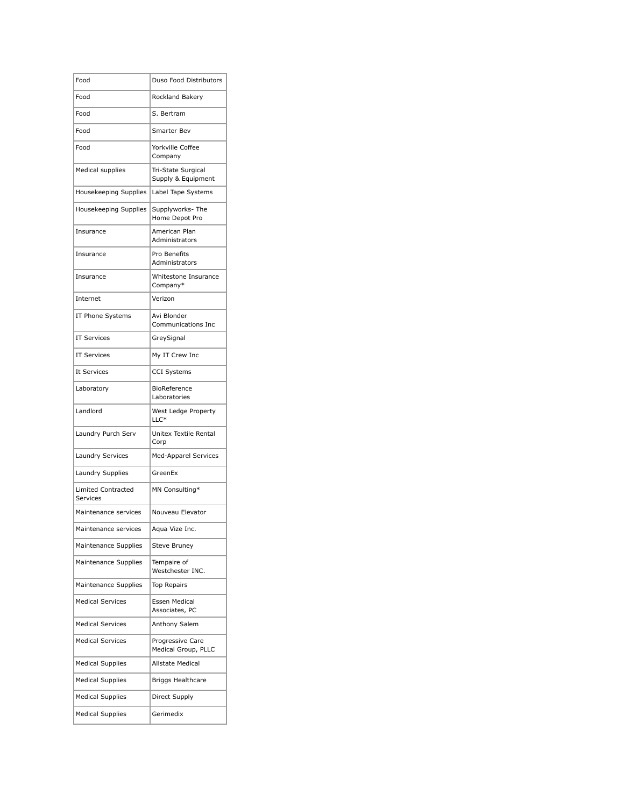| Food                                  | Duso Food Distributors                   |
|---------------------------------------|------------------------------------------|
| Food                                  | Rockland Bakery                          |
| Food                                  | S. Bertram                               |
| Food                                  | Smarter Bev                              |
| Food                                  | Yorkville Coffee<br>Company              |
| Medical supplies                      | Tri-State Surgical<br>Supply & Equipment |
| Housekeeping Supplies                 | Label Tape Systems                       |
| Housekeeping Supplies                 | Supplyworks-The<br>Home Depot Pro        |
| Insurance                             | American Plan<br>Administrators          |
| Insurance                             | Pro Benefits<br>Administrators           |
| Insurance                             | Whitestone Insurance<br>Company*         |
| Internet                              | Verizon                                  |
| IT Phone Systems                      | Avi Blonder<br>Communications Inc.       |
| <b>IT Services</b>                    | GreySignal                               |
| <b>IT Services</b>                    | My IT Crew Inc                           |
| It Services                           | <b>CCI Systems</b>                       |
| Laboratory                            | BioReference<br>Laboratories             |
| Landlord                              | West Ledge Property<br>$LLC*$            |
| Laundry Purch Serv                    | Unitex Textile Rental<br>Corp            |
| Laundry Services                      | <b>Med-Apparel Services</b>              |
| Laundry Supplies                      | GreenEx                                  |
| <b>Limited Contracted</b><br>Services | MN Consulting*                           |
| Maintenance services                  | Nouveau Elevator                         |
| Maintenance services                  | Aqua Vize Inc.                           |
| Maintenance Supplies                  | <b>Steve Bruney</b>                      |
| Maintenance Supplies                  | Tempaire of<br>Westchester INC.          |
| Maintenance Supplies                  | <b>Top Repairs</b>                       |
| <b>Medical Services</b>               | Essen Medical<br>Associates, PC          |
| <b>Medical Services</b>               | Anthony Salem                            |
| <b>Medical Services</b>               | Progressive Care<br>Medical Group, PLLC  |
| <b>Medical Supplies</b>               | Allstate Medical                         |
| <b>Medical Supplies</b>               | <b>Briggs Healthcare</b>                 |
| <b>Medical Supplies</b>               | Direct Supply                            |
| <b>Medical Supplies</b>               | Gerimedix                                |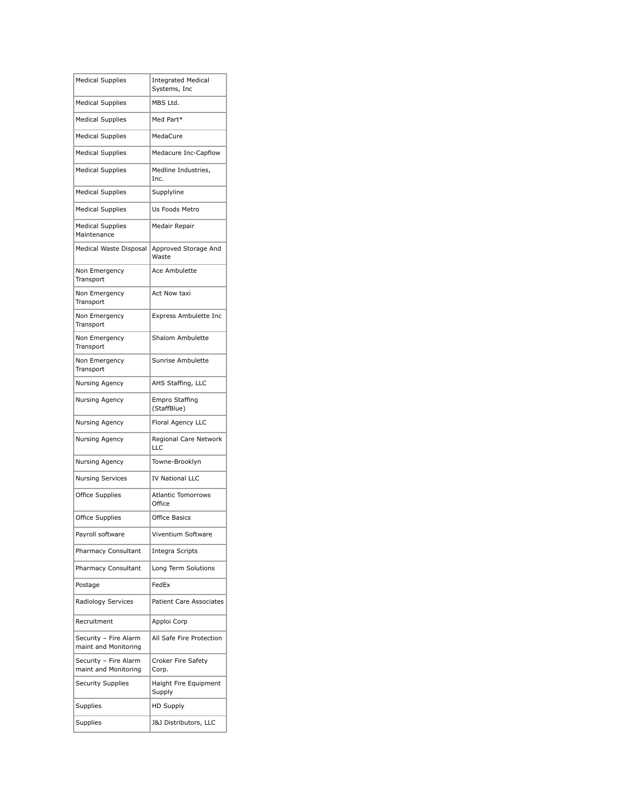| <b>Medical Supplies</b>                       | <b>Integrated Medical</b><br>Systems, Inc |
|-----------------------------------------------|-------------------------------------------|
| <b>Medical Supplies</b>                       | MBS Ltd.                                  |
| <b>Medical Supplies</b>                       | Med Part*                                 |
| <b>Medical Supplies</b>                       | MedaCure                                  |
| <b>Medical Supplies</b>                       | Medacure Inc-Capflow                      |
| <b>Medical Supplies</b>                       | Medline Industries,<br>Inc.               |
| <b>Medical Supplies</b>                       | Supplyline                                |
| <b>Medical Supplies</b>                       | Us Foods Metro                            |
| <b>Medical Supplies</b><br>Maintenance        | Medair Repair                             |
| Medical Waste Disposal                        | Approved Storage And<br>Waste             |
| Non Emergency<br>Transport                    | Ace Ambulette                             |
| Non Emergency<br>Transport                    | Act Now taxi                              |
| Non Emergency<br>Transport                    | Express Ambulette Inc                     |
| Non Emergency<br>Transport                    | Shalom Ambulette                          |
| Non Emergency<br>Transport                    | Sunrise Ambulette                         |
| Nursing Agency                                | AHS Staffing, LLC                         |
| Nursing Agency                                | <b>Empro Staffing</b><br>(StaffBlue)      |
| Nursing Agency                                | Floral Agency LLC                         |
| Nursing Agency                                | Regional Care Network<br>LLC              |
| Nursing Agency                                | Towne-Brooklyn                            |
| <b>Nursing Services</b>                       | <b>IV National LLC</b>                    |
| <b>Office Supplies</b>                        | <b>Atlantic Tomorrows</b><br>Office       |
| Office Supplies                               | <b>Office Basics</b>                      |
| Payroll software                              | Viventium Software                        |
| Pharmacy Consultant                           | Integra Scripts                           |
| Pharmacy Consultant                           | Long Term Solutions                       |
| Postage                                       | FedEx                                     |
| Radiology Services                            | <b>Patient Care Associates</b>            |
| Recruitment                                   | Apploi Corp                               |
| Security - Fire Alarm<br>maint and Monitoring | All Safe Fire Protection                  |
| Security - Fire Alarm<br>maint and Monitoring | Croker Fire Safety<br>Corp.               |
| <b>Security Supplies</b>                      | Haight Fire Equipment<br>Supply           |
| Supplies                                      | <b>HD Supply</b>                          |
| Supplies                                      | <b>J&amp;J Distributors, LLC</b>          |